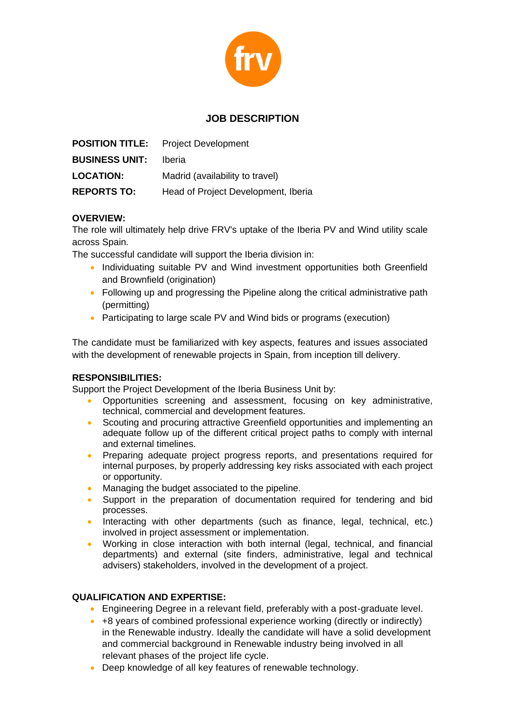

# **JOB DESCRIPTION**

|                       | <b>POSITION TITLE:</b> Project Development |
|-----------------------|--------------------------------------------|
| <b>BUSINESS UNIT:</b> | <b>Iberia</b>                              |
| <b>LOCATION:</b>      | Madrid (availability to travel)            |
| <b>REPORTS TO:</b>    | Head of Project Development, Iberia        |

### **OVERVIEW:**

The role will ultimately help drive FRV's uptake of the Iberia PV and Wind utility scale across Spain.

The successful candidate will support the Iberia division in:

- Individuating suitable PV and Wind investment opportunities both Greenfield and Brownfield (origination)
- Following up and progressing the Pipeline along the critical administrative path (permitting)
- Participating to large scale PV and Wind bids or programs (execution)

The candidate must be familiarized with key aspects, features and issues associated with the development of renewable projects in Spain, from inception till delivery.

#### **RESPONSIBILITIES:**

Support the Project Development of the Iberia Business Unit by:

- Opportunities screening and assessment, focusing on key administrative, technical, commercial and development features.
- Scouting and procuring attractive Greenfield opportunities and implementing an adequate follow up of the different critical project paths to comply with internal and external timelines.
- Preparing adequate project progress reports, and presentations required for internal purposes, by properly addressing key risks associated with each project or opportunity.
- Managing the budget associated to the pipeline.
- Support in the preparation of documentation required for tendering and bid processes.
- Interacting with other departments (such as finance, legal, technical, etc.) involved in project assessment or implementation.
- Working in close interaction with both internal (legal, technical, and financial departments) and external (site finders, administrative, legal and technical advisers) stakeholders, involved in the development of a project.

#### **QUALIFICATION AND EXPERTISE:**

- Engineering Degree in a relevant field, preferably with a post-graduate level.
- +8 years of combined professional experience working (directly or indirectly) in the Renewable industry. Ideally the candidate will have a solid development and commercial background in Renewable industry being involved in all relevant phases of the project life cycle.
- Deep knowledge of all key features of renewable technology.